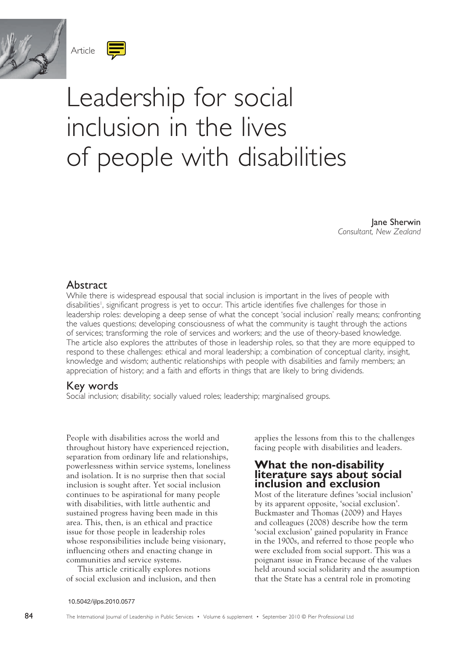



# of people with disabilities

Jane Sherwin *Consultant, New Zealand*

## **Abstract**

While there is widespread espousal that social inclusion is important in the lives of people with disabilities<sup>1</sup>, significant progress is yet to occur. This article identifies five challenges for those in leadership roles: developing a deep sense of what the concept 'social inclusion' really means; confronting the values questions; developing consciousness of what the community is taught through the actions of services; transforming the role of services and workers; and the use of theory-based knowledge. The article also explores the attributes of those in leadership roles, so that they are more equipped to respond to these challenges: ethical and moral leadership; a combination of conceptual clarity, insight, knowledge and wisdom; authentic relationships with people with disabilities and family members; an appreciation of history; and a faith and efforts in things that are likely to bring dividends.

# Key words

Social inclusion; disability; socially valued roles; leadership; marginalised groups.

People with disabilities across the world and throughout history have experienced rejection, separation from ordinary life and relationships, powerlessness within service systems, loneliness and isolation. It is no surprise then that social inclusion is sought after. Yet social inclusion continues to be aspirational for many people with disabilities, with little authentic and sustained progress having been made in this area. This, then, is an ethical and practice issue for those people in leadership roles whose responsibilities include being visionary, influencing others and enacting change in communities and service systems.

This article critically explores notions of social exclusion and inclusion, and then applies the lessons from this to the challenges facing people with disabilities and leaders.

# **What the non-disability literature says about social inclusion and exclusion**

Most of the literature defines 'social inclusion' by its apparent opposite, 'social exclusion'. Buckmaster and Thomas (2009) and Hayes and colleagues (2008) describe how the term 'social exclusion' gained popularity in France in the 1900s, and referred to those people who were excluded from social support. This was a poignant issue in France because of the values held around social solidarity and the assumption that the State has a central role in promoting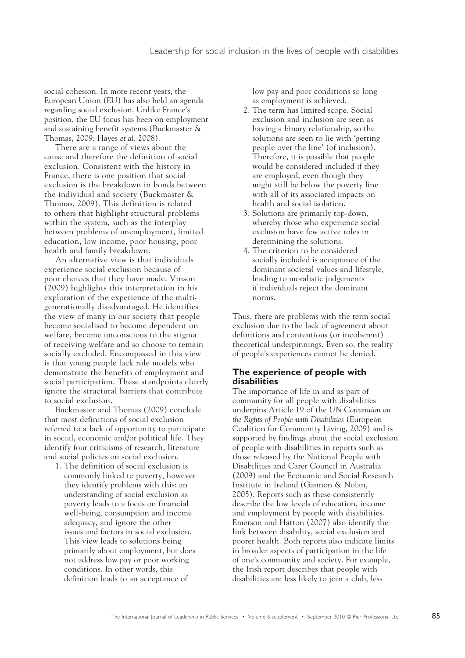social cohesion. In more recent years, the European Union (EU) has also held an agenda regarding social exclusion. Unlike France's position, the EU focus has been on employment and sustaining benefit systems (Buckmaster & Thomas, 2009; Hayes *et al*, 2008).

There are a range of views about the cause and therefore the definition of social exclusion. Consistent with the history in France, there is one position that social exclusion is the breakdown in bonds between the individual and society (Buckmaster & Thomas, 2009). This definition is related to others that highlight structural problems within the system, such as the interplay between problems of unemployment, limited education, low income, poor housing, poor health and family breakdown.

An alternative view is that individuals experience social exclusion because of poor choices that they have made. Vinson (2009) highlights this interpretation in his exploration of the experience of the multigenerationally disadvantaged. He identifies the view of many in our society that people become socialised to become dependent on welfare, become unconscious to the stigma of receiving welfare and so choose to remain socially excluded. Encompassed in this view is that young people lack role models who demonstrate the benefits of employment and social participation. These standpoints clearly ignore the structural barriers that contribute to social exclusion.

Buckmaster and Thomas (2009) conclude that most definitions of social exclusion referred to a lack of opportunity to participate in social, economic and/or political life. They identify four criticisms of research, literature and social policies on social exclusion.

1. The definition of social exclusion is commonly linked to poverty, however they identify problems with this: an understanding of social exclusion as poverty leads to a focus on financial well-being, consumption and income adequacy, and ignore the other issues and factors in social exclusion. This view leads to solutions being primarily about employment, but does not address low pay or poor working conditions. In other words, this definition leads to an acceptance of

low pay and poor conditions so long as employment is achieved.

- 2. The term has limited scope. Social exclusion and inclusion are seen as having a binary relationship, so the solutions are seen to lie with 'getting people over the line' (of inclusion). Therefore, it is possible that people would be considered included if they are employed, even though they might still be below the poverty line with all of its associated impacts on health and social isolation.
- 3. Solutions are primarily top-down, whereby those who experience social exclusion have few active roles in determining the solutions.
- 4. The criterion to be considered socially included is acceptance of the dominant societal values and lifestyle, leading to moralistic judgements if individuals reject the dominant norms.

Thus, there are problems with the term social exclusion due to the lack of agreement about definitions and contentious (or incoherent) theoretical underpinnings. Even so, the reality of people's experiences cannot be denied.

## **The experience of people with disabilities**

The importance of life in and as part of community for all people with disabilities underpins Article 19 of the *UN Convention on the Rights of People with Disabilities* (European Coalition for Community Living, 2009) and is supported by findings about the social exclusion of people with disabilities in reports such as those released by the National People with Disabilities and Carer Council in Australia (2009) and the Economic and Social Research Institute in Ireland (Gannon & Nolan, 2005). Reports such as these consistently describe the low levels of education, income and employment by people with disabilities. Emerson and Hatton (2007) also identify the link between disability, social exclusion and poorer health. Both reports also indicate limits in broader aspects of participation in the life of one's community and society. For example, the Irish report describes that people with disabilities are less likely to join a club, less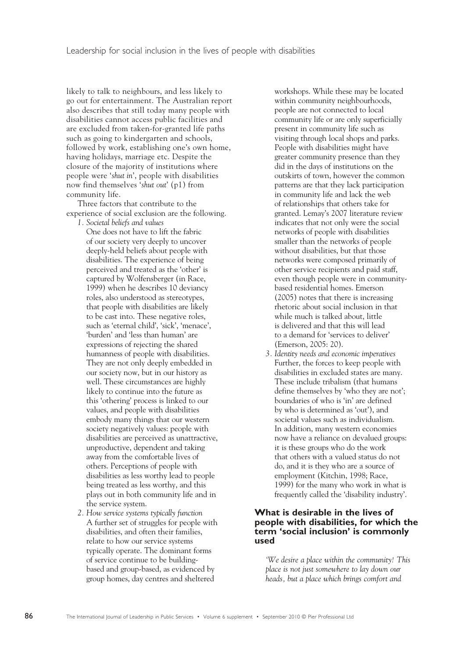likely to talk to neighbours, and less likely to go out for entertainment. The Australian report also describes that still today many people with disabilities cannot access public facilities and are excluded from taken-for-granted life paths such as going to kindergarten and schools, followed by work, establishing one's own home, having holidays, marriage etc. Despite the closure of the majority of institutions where people were '*shut in*', people with disabilities now find themselves '*shut out*' (p1) from community life.

Three factors that contribute to the experience of social exclusion are the following.

*1. Societal beliefs and values*

One does not have to lift the fabric of our society very deeply to uncover deeply-held beliefs about people with disabilities. The experience of being perceived and treated as the 'other' is captured by Wolfensberger (in Race, 1999) when he describes 10 deviancy roles, also understood as stereotypes, that people with disabilities are likely to be cast into. These negative roles, such as 'eternal child', 'sick', 'menace', 'burden' and 'less than human' are expressions of rejecting the shared humanness of people with disabilities. They are not only deeply embedded in our society now, but in our history as well. These circumstances are highly likely to continue into the future as this 'othering' process is linked to our values, and people with disabilities embody many things that our western society negatively values: people with disabilities are perceived as unattractive, unproductive, dependent and taking away from the comfortable lives of others. Perceptions of people with disabilities as less worthy lead to people being treated as less worthy, and this plays out in both community life and in the service system.

*2. How service systems typically function* A further set of struggles for people with disabilities, and often their families, relate to how our service systems typically operate. The dominant forms of service continue to be buildingbased and group-based, as evidenced by group homes, day centres and sheltered

workshops. While these may be located within community neighbourhoods, people are not connected to local community life or are only superficially present in community life such as visiting through local shops and parks. People with disabilities might have greater community presence than they did in the days of institutions on the outskirts of town, however the common patterns are that they lack participation in community life and lack the web of relationships that others take for granted. Lemay's 2007 literature review indicates that not only were the social networks of people with disabilities smaller than the networks of people without disabilities, but that those networks were composed primarily of other service recipients and paid staff, even though people were in communitybased residential homes. Emerson (2005) notes that there is increasing rhetoric about social inclusion in that while much is talked about, little is delivered and that this will lead to a demand for 'services to deliver' (Emerson, 2005: 20).

*3. Identity needs and economic imperatives*  Further, the forces to keep people with disabilities in excluded states are many. These include tribalism (that humans define themselves by 'who they are not'; boundaries of who is 'in' are defined by who is determined as 'out'), and societal values such as individualism. In addition, many western economies now have a reliance on devalued groups: it is these groups who do the work that others with a valued status do not do, and it is they who are a source of employment (Kitchin, 1998; Race, 1999) for the many who work in what is frequently called the 'disability industry'.

## **What is desirable in the lives of people with disabilities, for which the term 'social inclusion' is commonly used**

*'We desire a place within the community! This place is not just somewhere to lay down our heads, but a place which brings comfort and*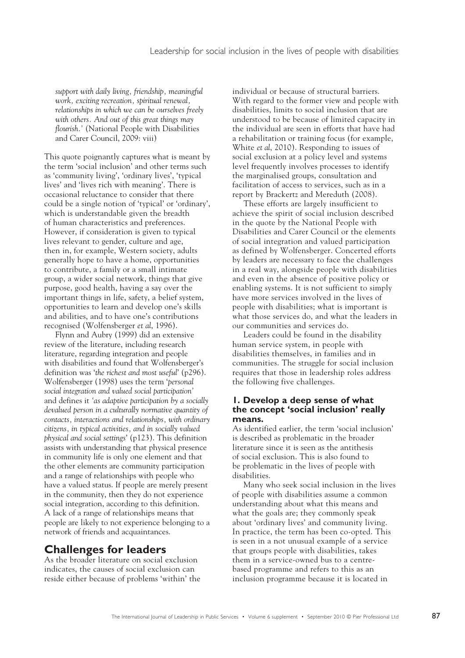*support with daily living, friendship, meaningful work, exciting recreation, spiritual renewal, relationships in which we can be ourselves freely with others. And out of this great things may flourish.'* (National People with Disabilities and Carer Council, 2009: viii)

This quote poignantly captures what is meant by the term 'social inclusion' and other terms such as 'community living', 'ordinary lives', 'typical lives' and 'lives rich with meaning'. There is occasional reluctance to consider that there could be a single notion of 'typical' or 'ordinary', which is understandable given the breadth of human characteristics and preferences. However, if consideration is given to typical lives relevant to gender, culture and age, then in, for example, Western society, adults generally hope to have a home, opportunities to contribute, a family or a small intimate group, a wider social network, things that give purpose, good health, having a say over the important things in life, safety, a belief system, opportunities to learn and develop one's skills and abilities, and to have one's contributions recognised (Wolfensberger *et al*, 1996).

Flynn and Aubry (1999) did an extensive review of the literature, including research literature, regarding integration and people with disabilities and found that Wolfensberger's definition was '*the richest and most useful*' (p296). Wolfensberger (1998) uses the term '*personal social integration and valued social participation'*  and defines it *'as adaptive participation by a socially devalued person in a culturally normative quantity of contacts, interactions and relationships, with ordinary citizens, in typical activities, and in socially valued physical and social settings*' (p123). This definition assists with understanding that physical presence in community life is only one element and that the other elements are community participation and a range of relationships with people who have a valued status. If people are merely present in the community, then they do not experience social integration, according to this definition. A lack of a range of relationships means that people are likely to not experience belonging to a network of friends and acquaintances.

# **Challenges for leaders**

As the broader literature on social exclusion indicates, the causes of social exclusion can reside either because of problems 'within' the individual or because of structural barriers. With regard to the former view and people with disabilities, limits to social inclusion that are understood to be because of limited capacity in the individual are seen in efforts that have had a rehabilitation or training focus (for example, White *et al*, 2010). Responding to issues of social exclusion at a policy level and systems level frequently involves processes to identify the marginalised groups, consultation and facilitation of access to services, such as in a report by Brackertz and Mereduth (2008).

These efforts are largely insufficient to achieve the spirit of social inclusion described in the quote by the National People with Disabilities and Carer Council or the elements of social integration and valued participation as defined by Wolfensberger. Concerted efforts by leaders are necessary to face the challenges in a real way, alongside people with disabilities and even in the absence of positive policy or enabling systems. It is not sufficient to simply have more services involved in the lives of people with disabilities; what is important is what those services do, and what the leaders in our communities and services do.

Leaders could be found in the disability human service system, in people with disabilities themselves, in families and in communities. The struggle for social inclusion requires that those in leadership roles address the following five challenges.

## **1. Develop a deep sense of what the concept 'social inclusion' really means.**

As identified earlier, the term 'social inclusion' is described as problematic in the broader literature since it is seen as the antithesis of social exclusion. This is also found to be problematic in the lives of people with disabilities.

Many who seek social inclusion in the lives of people with disabilities assume a common understanding about what this means and what the goals are; they commonly speak about 'ordinary lives' and community living. In practice, the term has been co-opted. This is seen in a not unusual example of a service that groups people with disabilities, takes them in a service-owned bus to a centrebased programme and refers to this as an inclusion programme because it is located in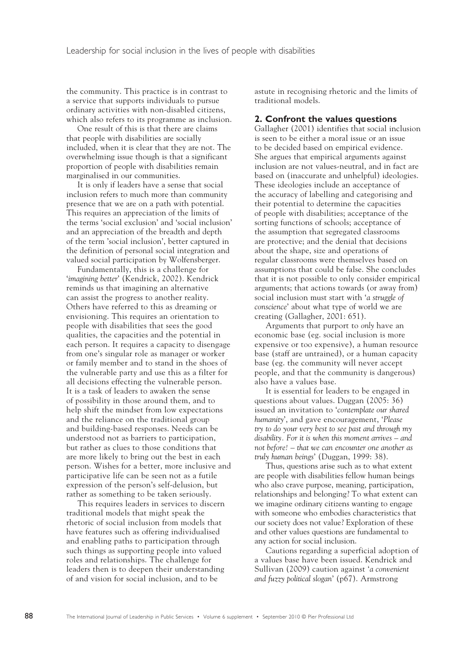the community. This practice is in contrast to a service that supports individuals to pursue ordinary activities with non-disabled citizens, which also refers to its programme as inclusion.

One result of this is that there are claims that people with disabilities are socially included, when it is clear that they are not. The overwhelming issue though is that a significant proportion of people with disabilities remain marginalised in our communities.

It is only if leaders have a sense that social inclusion refers to much more than community presence that we are on a path with potential. This requires an appreciation of the limits of the terms 'social exclusion' and 'social inclusion' and an appreciation of the breadth and depth of the term 'social inclusion', better captured in the definition of personal social integration and valued social participation by Wolfensberger.

Fundamentally, this is a challenge for '*imagining better*' (Kendrick, 2002). Kendrick reminds us that imagining an alternative can assist the progress to another reality. Others have referred to this as dreaming or envisioning. This requires an orientation to people with disabilities that sees the good qualities, the capacities and the potential in each person. It requires a capacity to disengage from one's singular role as manager or worker or family member and to stand in the shoes of the vulnerable party and use this as a filter for all decisions effecting the vulnerable person. It is a task of leaders to awaken the sense of possibility in those around them, and to help shift the mindset from low expectations and the reliance on the traditional group and building-based responses. Needs can be understood not as barriers to participation, but rather as clues to those conditions that are more likely to bring out the best in each person. Wishes for a better, more inclusive and participative life can be seen not as a futile expression of the person's self-delusion, but rather as something to be taken seriously.

This requires leaders in services to discern traditional models that might speak the rhetoric of social inclusion from models that have features such as offering individualised and enabling paths to participation through such things as supporting people into valued roles and relationships. The challenge for leaders then is to deepen their understanding of and vision for social inclusion, and to be

astute in recognising rhetoric and the limits of traditional models.

### **2. Confront the values questions**

Gallagher (2001) identifies that social inclusion is seen to be either a moral issue or an issue to be decided based on empirical evidence. She argues that empirical arguments against inclusion are not values-neutral, and in fact are based on (inaccurate and unhelpful) ideologies. These ideologies include an acceptance of the accuracy of labelling and categorising and their potential to determine the capacities of people with disabilities; acceptance of the sorting functions of schools; acceptance of the assumption that segregated classrooms are protective; and the denial that decisions about the shape, size and operations of regular classrooms were themselves based on assumptions that could be false. She concludes that it is not possible to only consider empirical arguments; that actions towards (or away from) social inclusion must start with '*a struggle of conscience*' about what type of world we are creating (Gallagher, 2001: 651).

Arguments that purport to *only* have an economic base (eg. social inclusion is more expensive or too expensive), a human resource base (staff are untrained), or a human capacity base (eg. the community will never accept people, and that the community is dangerous) also have a values base.

It is essential for leaders to be engaged in questions about values. Duggan (2005: 36) issued an invitation to '*contemplate our shared humanity*', and gave encouragement, '*Please try to do your very best to see past and through my disability. For it is when this moment arrives – and not before! – that we can encounter one another as truly human beings*' (Duggan, 1999: 38).

Thus, questions arise such as to what extent are people with disabilities fellow human beings who also crave purpose, meaning, participation, relationships and belonging? To what extent can we imagine ordinary citizens wanting to engage with someone who embodies characteristics that our society does not value? Exploration of these and other values questions are fundamental to any action for social inclusion.

Cautions regarding a superficial adoption of a values base have been issued. Kendrick and Sullivan (2009) caution against '*a convenient and fuzzy political slogan*' (p67). Armstrong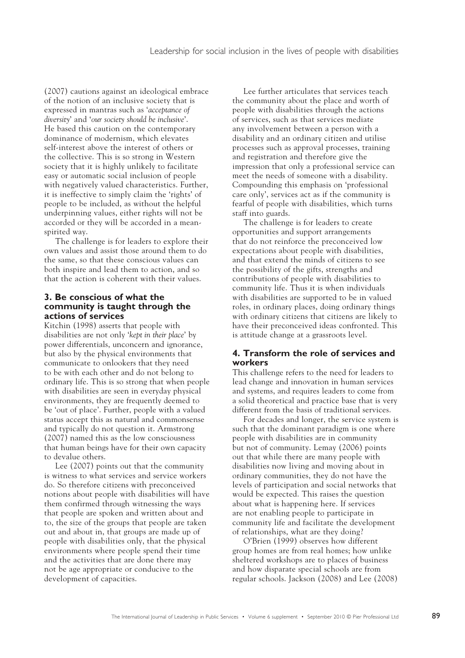(2007) cautions against an ideological embrace of the notion of an inclusive society that is expressed in mantras such as '*acceptance of diversity*' and '*our society should be inclusive*'. He based this caution on the contemporary dominance of modernism, which elevates self-interest above the interest of others or the collective. This is so strong in Western society that it is highly unlikely to facilitate easy or automatic social inclusion of people with negatively valued characteristics. Further, it is ineffective to simply claim the 'rights' of people to be included, as without the helpful underpinning values, either rights will not be accorded or they will be accorded in a meanspirited way.

The challenge is for leaders to explore their own values and assist those around them to do the same, so that these conscious values can both inspire and lead them to action, and so that the action is coherent with their values.

#### **3. Be conscious of what the community is taught through the actions of services**

Kitchin (1998) asserts that people with disabilities are not only '*kept in their place*' by power differentials, unconcern and ignorance, but also by the physical environments that communicate to onlookers that they need to be with each other and do not belong to ordinary life. This is so strong that when people with disabilities are seen in everyday physical environments, they are frequently deemed to be 'out of place'. Further, people with a valued status accept this as natural and commonsense and typically do not question it. Armstrong (2007) named this as the low consciousness that human beings have for their own capacity to devalue others.

Lee (2007) points out that the community is witness to what services and service workers do. So therefore citizens with preconceived notions about people with disabilities will have them confirmed through witnessing the ways that people are spoken and written about and to, the size of the groups that people are taken out and about in, that groups are made up of people with disabilities only, that the physical environments where people spend their time and the activities that are done there may not be age appropriate or conducive to the development of capacities.

Lee further articulates that services teach the community about the place and worth of people with disabilities through the actions of services, such as that services mediate any involvement between a person with a disability and an ordinary citizen and utilise processes such as approval processes, training and registration and therefore give the impression that only a professional service can meet the needs of someone with a disability. Compounding this emphasis on 'professional care only', services act as if the community is fearful of people with disabilities, which turns staff into guards.

The challenge is for leaders to create opportunities and support arrangements that do not reinforce the preconceived low expectations about people with disabilities, and that extend the minds of citizens to see the possibility of the gifts, strengths and contributions of people with disabilities to community life. Thus it is when individuals with disabilities are supported to be in valued roles, in ordinary places, doing ordinary things with ordinary citizens that citizens are likely to have their preconceived ideas confronted. This is attitude change at a grassroots level.

## **4. Transform the role of services and workers**

This challenge refers to the need for leaders to lead change and innovation in human services and systems, and requires leaders to come from a solid theoretical and practice base that is very different from the basis of traditional services.

For decades and longer, the service system is such that the dominant paradigm is one where people with disabilities are in community but not of community. Lemay (2006) points out that while there are many people with disabilities now living and moving about in ordinary communities, they do not have the levels of participation and social networks that would be expected. This raises the question about what is happening here. If services are not enabling people to participate in community life and facilitate the development of relationships, what are they doing?

O'Brien (1999) observes how different group homes are from real homes; how unlike sheltered workshops are to places of business and how disparate special schools are from regular schools. Jackson (2008) and Lee (2008)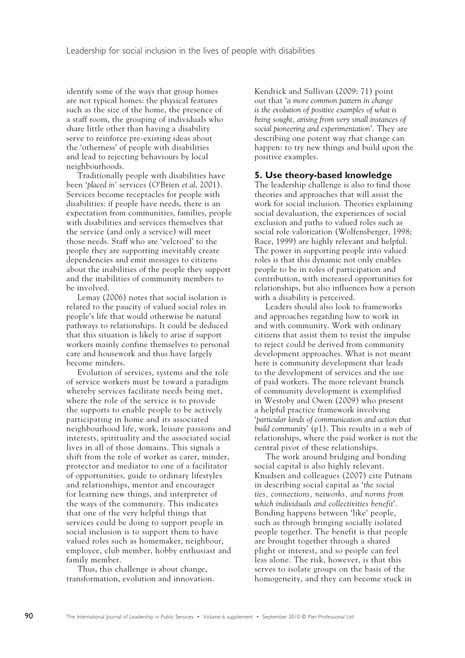identify some of the ways that group homes are not typical homes: the physical features such as the size of the home, the presence of a staff room, the grouping of individuals who share little other than having a disability serve to reinforce pre-existing ideas about the 'otherness' of people with disabilities and lead to rejecting behaviours by local neighbourhoods.

Traditionally people with disabilities have been '*placed in'* services (O'Brien *et al*, 2001). Services become receptacles for people with disabilities: if people have needs, there is an expectation from communities, families, people with disabilities and services themselves that the service (and only a service) will meet those needs. Staff who are 'velcroed' to the people they are supporting inevitably create dependencies and emit messages to citizens about the inabilities of the people they support and the inabilities of community members to be involved.

Lemay (2006) notes that social isolation is related to the paucity of valued social roles in people's life that would otherwise be natural pathways to relationships. It could be deduced that this situation is likely to arise if support workers mainly confine themselves to personal care and housework and thus have largely become minders.

Evolution of services, systems and the role of service workers must be toward a paradigm whereby services facilitate needs being met, where the role of the service is to provide the supports to enable people to be actively participating in home and its associated neighbourhood life, work, leisure passions and interests, spirituality and the associated social lives in all of those domains. This signals a shift from the role of worker as carer, minder, protector and mediator to one of a facilitator of opportunities, guide to ordinary lifestyles and relationships, mentor and encourager for learning new things, and interpreter of the ways of the community. This indicates that one of the very helpful things that services could be doing to support people in social inclusion is to support them to have valued roles such as homemaker, neighbour, employee, club member, hobby enthusiast and family member.

Thus, this challenge is about change, transformation, evolution and innovation. Kendrick and Sullivan (2009: 71) point out that '*a more common pattern in change is the evolution of positive examples of what is being sought, arising from very small instances of social pioneering and experimentation*'. They are describing one potent way that change can happen: to try new things and build upon the positive examples.

## **5. Use theory-based knowledge**

The leadership challenge is also to find those theories and approaches that will assist the work for social inclusion. Theories explaining social devaluation, the experiences of social exclusion and paths to valued roles such as social role valorization (Wolfensberger, 1998; Race, 1999) are highly relevant and helpful. The power in supporting people into valued roles is that this dynamic not only enables people to be in roles of participation and contribution, with increased opportunities for relationships, but also influences how a person with a disability is perceived.

Leaders should also look to frameworks and approaches regarding how to work in and with community. Work with ordinary citizens that assist them to resist the impulse to reject could be derived from community development approaches. What is not meant here is community development that leads to the development of services and the use of paid workers. The more relevant branch of community development is exemplified in Westoby and Owen (2009) who present a helpful practice framework involving '*particular kinds of communication and action that build community*' (p1). This results in a web of relationships, where the paid worker is not the central pivot of these relationships.

The work around bridging and bonding social capital is also highly relevant. Knudsen and colleagues (2007) cite Putnam in describing social capital as '*the social ties, connections, networks, and norms from which individuals and collectivities benefit*'. Bonding happens between 'like' people, such as through bringing socially isolated people together. The benefit is that people are brought together through a shared plight or interest, and so people can feel less alone. The risk, however, is that this serves to isolate groups on the basis of the homogeneity, and they can become stuck in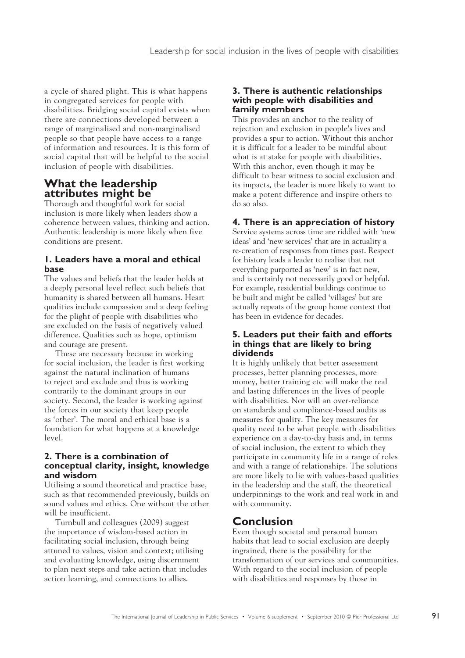a cycle of shared plight. This is what happens in congregated services for people with disabilities. Bridging social capital exists when there are connections developed between a range of marginalised and non-marginalised people so that people have access to a range of information and resources. It is this form of social capital that will be helpful to the social inclusion of people with disabilities.

# **What the leadership attributes might be**

Thorough and thoughtful work for social inclusion is more likely when leaders show a coherence between values, thinking and action. Authentic leadership is more likely when five conditions are present.

## **1. Leaders have a moral and ethical base**

The values and beliefs that the leader holds at a deeply personal level reflect such beliefs that humanity is shared between all humans. Heart qualities include compassion and a deep feeling for the plight of people with disabilities who are excluded on the basis of negatively valued difference. Qualities such as hope, optimism and courage are present.

These are necessary because in working for social inclusion, the leader is first working against the natural inclination of humans to reject and exclude and thus is working contrarily to the dominant groups in our society. Second, the leader is working against the forces in our society that keep people as 'other'. The moral and ethical base is a foundation for what happens at a knowledge level.

## **2. There is a combination of conceptual clarity, insight, knowledge and wisdom**

Utilising a sound theoretical and practice base, such as that recommended previously, builds on sound values and ethics. One without the other will be insufficient.

Turnbull and colleagues (2009) suggest the importance of wisdom-based action in facilitating social inclusion, through being attuned to values, vision and context; utilising and evaluating knowledge, using discernment to plan next steps and take action that includes action learning, and connections to allies.

## **3. There is authentic relationships with people with disabilities and family members**

This provides an anchor to the reality of rejection and exclusion in people's lives and provides a spur to action. Without this anchor it is difficult for a leader to be mindful about what is at stake for people with disabilities. With this anchor, even though it may be difficult to bear witness to social exclusion and its impacts, the leader is more likely to want to make a potent difference and inspire others to do so also.

# **4. There is an appreciation of history**

Service systems across time are riddled with 'new ideas' and 'new services' that are in actuality a re-creation of responses from times past. Respect for history leads a leader to realise that not everything purported as 'new' is in fact new, and is certainly not necessarily good or helpful. For example, residential buildings continue to be built and might be called 'villages' but are actually repeats of the group home context that has been in evidence for decades.

## **5. Leaders put their faith and efforts in things that are likely to bring dividends**

It is highly unlikely that better assessment processes, better planning processes, more money, better training etc will make the real and lasting differences in the lives of people with disabilities. Nor will an over-reliance on standards and compliance-based audits as measures for quality. The key measures for quality need to be what people with disabilities experience on a day-to-day basis and, in terms of social inclusion, the extent to which they participate in community life in a range of roles and with a range of relationships. The solutions are more likely to lie with values-based qualities in the leadership and the staff, the theoretical underpinnings to the work and real work in and with community.

# **Conclusion**

Even though societal and personal human habits that lead to social exclusion are deeply ingrained, there is the possibility for the transformation of our services and communities. With regard to the social inclusion of people with disabilities and responses by those in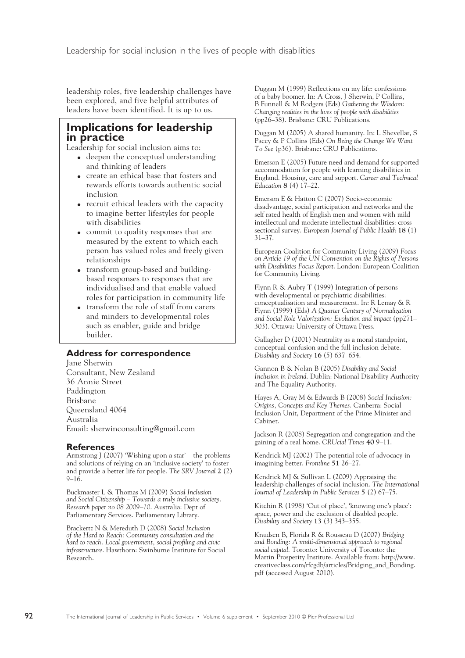leadership roles, five leadership challenges have been explored, and five helpful attributes of leaders have been identified. It is up to us.

# **Implications for leadership in practice**

Leadership for social inclusion aims to:

- deepen the conceptual understanding and thinking of leaders
- create an ethical base that fosters and rewards efforts towards authentic social inclusion
- recruit ethical leaders with the capacity to imagine better lifestyles for people with disabilities
- commit to quality responses that are measured by the extent to which each person has valued roles and freely given relationships
- transform group-based and buildingbased responses to responses that are individualised and that enable valued roles for participation in community life
- transform the role of staff from carers and minders to developmental roles such as enabler, guide and bridge builder.

## **Address for correspondence**

Jane Sherwin Consultant, New Zealand 36 Annie Street Paddington Brisbane Queensland 4064 Australia Email: sherwinconsulting@gmail.com

## **References**

Armstrong J (2007) 'Wishing upon a star' – the problems and solutions of relying on an 'inclusive society' to foster and provide a better life for people. *The SRV Journal* **2** (2)  $9-16.$ 

Buckmaster L & Thomas M (2009) *Social Inclusion and Social Citizenship – Towards a truly inclusive society. Research paper no 08 2009–10*. Australia: Dept of Parliamentary Services. Parliamentary Library.

Brackertz N & Mereduth D (2008) *Social Inclusion of the Hard to Reach: Community consultation and the hard to reach. Local government, social profiling and civic infrastructure*. Hawthorn: Swinburne Institute for Social Research.

Duggan M (1999) Reflections on my life: confessions of a baby boomer. In: A Cross, J Sherwin, P Collins, B Funnell & M Rodgers (Eds) *Gathering the Wisdom: Changing realities in the lives of people with disabilities* (pp26–38). Brisbane: CRU Publications.

Duggan M (2005) A shared humanity. In: L Shevellar, S Pacey & P Collins (Eds) *On Being the Change We Want To See* (p36). Brisbane: CRU Publications.

Emerson E (2005) Future need and demand for supported accommodation for people with learning disabilities in England. Housing, care and support. *Career and Technical Education* **8** (4) 17–22.

Emerson E & Hatton C (2007) Socio-economic disadvantage, social participation and networks and the self rated health of English men and women with mild intellectual and moderate intellectual disabilities: cross sectional survey. *European Journal of Public Health* **18** (1) 31–37.

European Coalition for Community Living (2009) *Focus on Article 19 of the UN Convention on the Rights of Persons with Disabilities Focus Report*. London: European Coalition for Community Living.

Flynn R & Aubry T (1999) Integration of persons with developmental or psychiatric disabilities: conceptualisation and measurement. In: R Lemay & R Flynn (1999) (Eds) *A Quarter Century of Normalization and Social Role Valorization: Evolution and impact* (pp271– 303). Ottawa: University of Ottawa Press.

Gallagher D (2001) Neutrality as a moral standpoint, conceptual confusion and the full inclusion debate. *Disability and Society* **16** (5) 637–654.

Gannon B & Nolan B (2005) *Disability and Social Inclusion in Ireland*. Dublin: National Disability Authority and The Equality Authority.

Hayes A, Gray M & Edwards B (2008) *Social Inclusion: Origins, Concepts and Key Themes*. Canberra: Social Inclusion Unit, Department of the Prime Minister and Cabinet.

Jackson R (2008) Segregation and congregation and the gaining of a real home. *CRUcial Times* **40** 9–11.

Kendrick MJ (2002) The potential role of advocacy in imagining better. *Frontline* **51** 26–27.

Kendrick MJ & Sullivan L (2009) Appraising the leadership challenges of social inclusion. *The International Journal of Leadership in Public Services* **5** (2) 67–75.

Kitchin R (1998) 'Out of place', 'knowing one's place': space, power and the exclusion of disabled people. *Disability and Society* **13** (3) 343–355.

Knudsen B, Florida R & Rousseau D (2007) *Bridging and Bonding: A multi-dimensional approach to regional social capital*. Toronto: University of Toronto: the Martin Prosperity Institute. Available from: http://www. creativeclass.com/rfcgdb/articles/Bridging\_and\_Bonding. pdf (accessed August 2010).